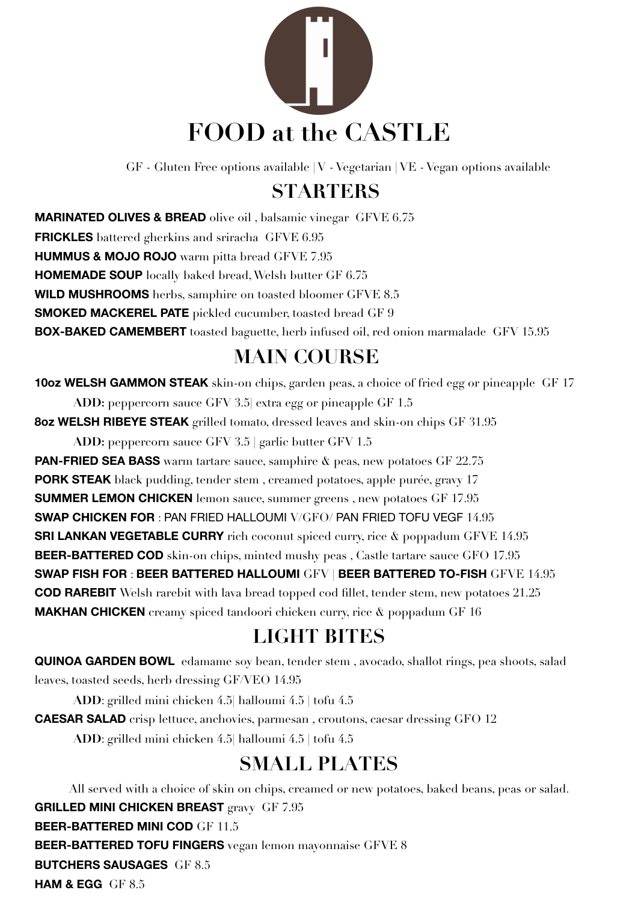

GF - Gluten Free options available | V - Vegetarian | VE - Vegan options available

### **STARTERS**

**MARINATED OLIVES & BREAD** olive oil , balsamic vinegar GFVE 6.75 **FRICKLES** battered gherkins and sriracha GFVE 6.95 **HUMMUS & MOJO ROJO** warm pitta bread GFVE 7.95 **HOMEMADE SOUP** locally baked bread, Welsh butter GF 6.75 **WILD MUSHROOMS** herbs, samphire on toasted bloomer GFVE 8.5 **SMOKED MACKEREL PATE** pickled cucumber, toasted bread GF 9 **BOX-BAKED CAMEMBERT** toasted baguette, herb infused oil, red onion marmalade GFV 15.95

# **MAIN COURSE**

**10oz WELSH GAMMON STEAK** skin-on chips, garden peas, a choice of fried egg or pineapple GF 17

**ADD:** peppercorn sauce GFV 3.5| extra egg or pineapple GF 1.5 **8oz WELSH RIBEYE STEAK** grilled tomato, dressed leaves and skin-on chips GF 31.95

**ADD:** peppercorn sauce GFV 3.5 | garlic butter GFV 1.5 **PAN-FRIED SEA BASS** warm tartare sauce, samphire  $\&$  peas, new potatoes GF 22.75 **PORK STEAK** black pudding, tender stem , creamed potatoes, apple purée, gravy 17 **SUMMER LEMON CHICKEN** lemon sauce, summer greens , new potatoes GF 17.95 **SWAP CHICKEN FOR** : PAN FRIED HALLOUMI V/GFO/ PAN FRIED TOFU VEGF 14.95 **SRI LANKAN VEGETABLE CURRY** rich coconut spiced curry, rice  $\&$  poppadum GFVE 14.95 **BEER-BATTERED COD** skin-on chips, minted mushy peas , Castle tartare sauce GFO 17.95 **SWAP FISH FOR** : **BEER BATTERED HALLOUMI** GFV | **BEER BATTERED TO-FISH** GFVE 14.95 **COD RAREBIT** Welsh rarebit with lava bread topped cod fillet, tender stem, new potatoes 21.25 **MAKHAN CHICKEN** creamy spiced tandoori chicken curry, rice & poppadum GF 16

# **LIGHT BITES**

**QUINOA GARDEN BOWL** edamame soy bean, tender stem , avocado, shallot rings, pea shoots, salad leaves, toasted seeds, herb dressing GF/VEO 14.95

**ADD**: grilled mini chicken 4.5| halloumi 4.5 | tofu 4.5

**CAESAR SALAD** crisp lettuce, anchovies, parmesan , croutons, caesar dressing GFO 12

**ADD**: grilled mini chicken 4.5| halloumi 4.5 | tofu 4.5

## **SMALL PLATES**

All served with a choice of skin on chips, creamed or new potatoes, baked beans, peas or salad. **GRILLED MINI CHICKEN BREAST** gravy GF 7.95 **BEER-BATTERED MINI COD** GF 11.5 **BEER-BATTERED TOFU FINGERS** vegan lemon mayonnaise GFVE 8 **BUTCHERS SAUSAGES** GF 8.5 **HAM & EGG** GF 8.5